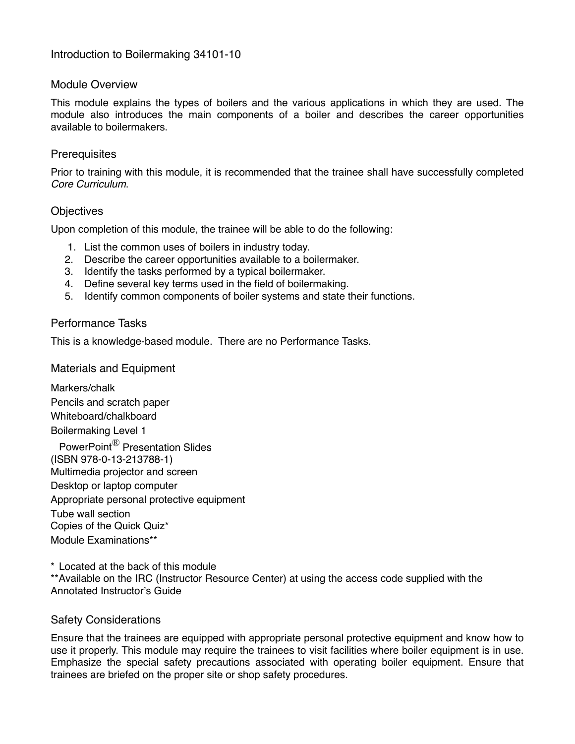# Introduction to Boilermaking 34101-10

#### Module Overview

This module explains the types of boilers and the various applications in which they are used. The module also introduces the main components of a boiler and describes the career opportunities available to boilermakers.

#### **Prerequisites**

Prior to training with this module, it is recommended that the trainee shall have successfully completed *Core Curriculum*.

#### **Objectives**

Upon completion of this module, the trainee will be able to do the following:

- 1. List the common uses of boilers in industry today.
- 2. Describe the career opportunities available to a boilermaker.
- 3. Identify the tasks performed by a typical boilermaker.
- 4. Define several key terms used in the field of boilermaking.
- 5. Identify common components of boiler systems and state their functions.

#### Performance Tasks

This is a knowledge-based module. There are no Performance Tasks.

Materials and Equipment

Markers/chalk Pencils and scratch paper Whiteboard/chalkboard Boilermaking Level 1 PowerPoint ${}^{\circledR}$  Presentation Slides (ISBN 978-0-13-213788-1) Multimedia projector and screen Desktop or laptop computer Appropriate personal protective equipment Tube wall section Copies of the Quick Quiz\* Module Examinations\*\*

\* Located at the back of this module \*\*Available on the IRC (Instructor Resource Center) at using the access code supplied with the Annotated Instructor's Guide

#### Safety Considerations

Ensure that the trainees are equipped with appropriate personal protective equipment and know how to use it properly. This module may require the trainees to visit facilities where boiler equipment is in use. Emphasize the special safety precautions associated with operating boiler equipment. Ensure that trainees are briefed on the proper site or shop safety procedures.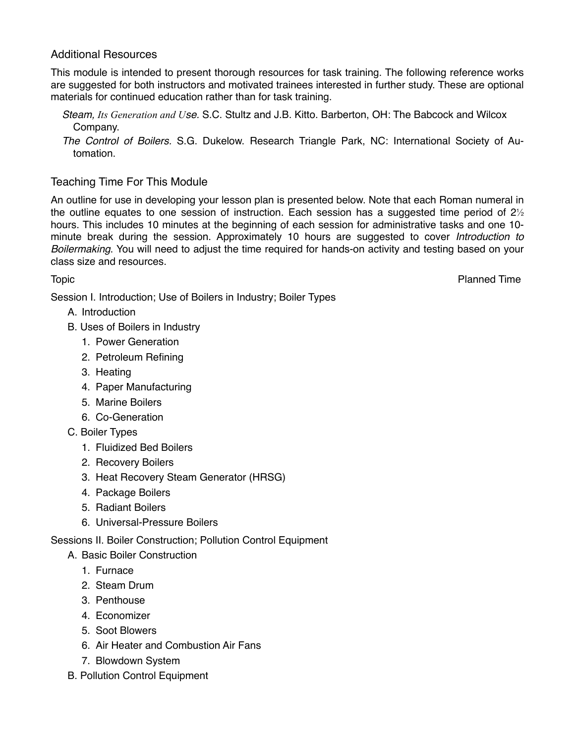# Additional Resources

This module is intended to present thorough resources for task training. The following reference works are suggested for both instructors and motivated trainees interested in further study. These are optional materials for continued education rather than for task training.

- *Steam, Its Generation and Use.* S.C. Stultz and J.B. Kitto. Barberton, OH: The Babcock and Wilcox Company.
- *The Control of Boilers.* S.G. Dukelow. Research Triangle Park, NC: International Society of Au‐ tomation.

# Teaching Time For This Module

An outline for use in developing your lesson plan is presented below. Note that each Roman numeral in the outline equates to one session of instruction. Each session has a suggested time period of 2½ hours. This includes 10 minutes at the beginning of each session for administrative tasks and one 10 minute break during the session. Approximately 10 hours are suggested to cover *Introduction to Boilermaking*. You will need to adjust the time required for hands-on activity and testing based on your class size and resources.

Topic Planned Time

Session I. Introduction; Use of Boilers in Industry; Boiler Types

- A. Introduction
- B. Uses of Boilers in Industry
	- 1. Power Generation
	- 2. Petroleum Refining
	- 3. Heating
	- 4. Paper Manufacturing
	- 5. Marine Boilers
	- 6. Co-Generation
- C. Boiler Types
	- 1. Fluidized Bed Boilers
	- 2. Recovery Boilers
	- 3. Heat Recovery Steam Generator (HRSG)
	- 4. Package Boilers
	- 5. Radiant Boilers
	- 6. Universal-Pressure Boilers

Sessions II. Boiler Construction; Pollution Control Equipment

- A. Basic Boiler Construction
	- 1. Furnace
	- 2. Steam Drum
	- 3. Penthouse
	- 4. Economizer
	- 5. Soot Blowers
	- 6. Air Heater and Combustion Air Fans
	- 7. Blowdown System
- B. Pollution Control Equipment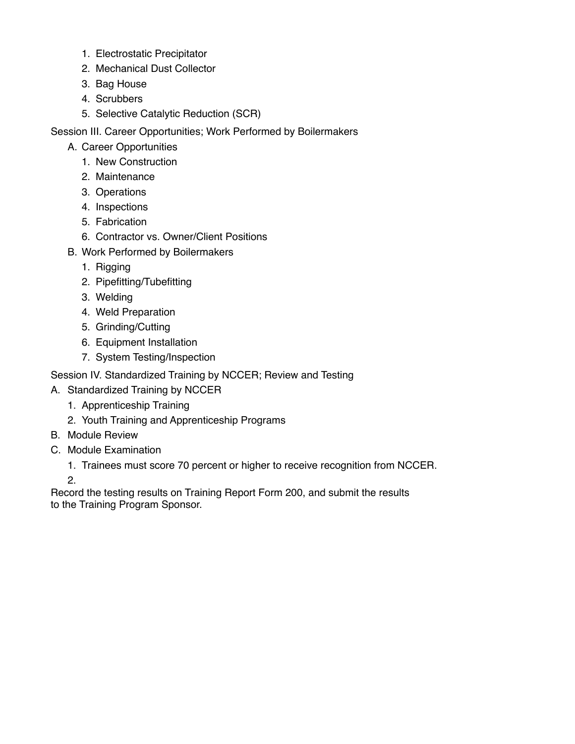- 1. Electrostatic Precipitator
- 2. Mechanical Dust Collector
- 3. Bag House
- 4. Scrubbers
- 5. Selective Catalytic Reduction (SCR)

Session III. Career Opportunities; Work Performed by Boilermakers

- A. Career Opportunities
	- 1. New Construction
	- 2. Maintenance
	- 3. Operations
	- 4. Inspections
	- 5. Fabrication
	- 6. Contractor vs. Owner/Client Positions
- B. Work Performed by Boilermakers
	- 1. Rigging
	- 2. Pipefitting/Tubefitting
	- 3. Welding
	- 4. Weld Preparation
	- 5. Grinding/Cutting
	- 6. Equipment Installation
	- 7. System Testing/Inspection

Session IV. Standardized Training by NCCER; Review and Testing

- A. Standardized Training by NCCER
	- 1. Apprenticeship Training
	- 2. Youth Training and Apprenticeship Programs
- B. Module Review
- C. Module Examination
	- 1. Trainees must score 70 percent or higher to receive recognition from NCCER.

2.

Record the testing results on Training Report Form 200, and submit the results to the Training Program Sponsor.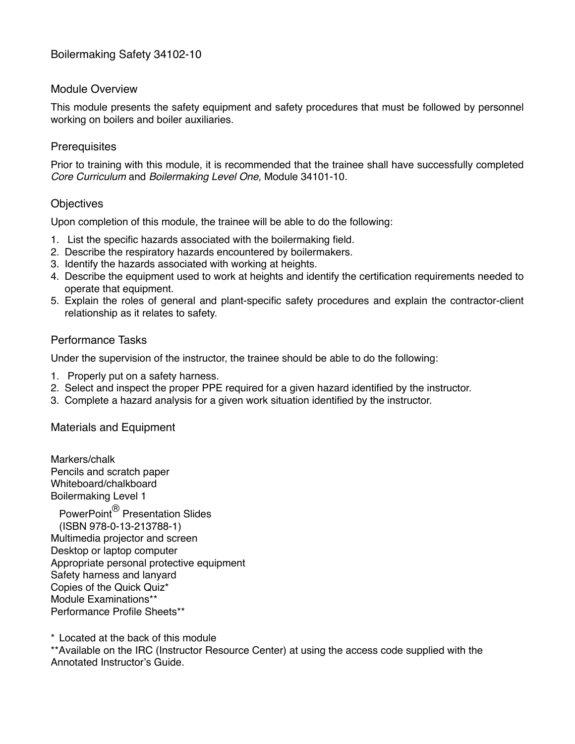## Module Overview

This module presents the safety equipment and safety procedures that must be followed by personnel working on boilers and boiler auxiliaries.

# **Prerequisites**

Prior to training with this module, it is recommended that the trainee shall have successfully completed *Core Curriculum* and *Boilermaking Level One,* Module 34101-10*.*

# **Objectives**

Upon completion of this module, the trainee will be able to do the following:

- 1. List the specific hazards associated with the boilermaking field.
- 2. Describe the respiratory hazards encountered by boilermakers.
- 3. Identify the hazards associated with working at heights.
- 4. Describe the equipment used to work at heights and identify the certification requirements needed to operate that equipment.
- 5. Explain the roles of general and plant-specific safety procedures and explain the contractor-client relationship as it relates to safety.

## Performance Tasks

Under the supervision of the instructor, the trainee should be able to do the following:

- 1. Properly put on a safety harness.
- 2. Select and inspect the proper PPE required for a given hazard identified by the instructor.
- 3. Complete a hazard analysis for a given work situation identified by the instructor.

Materials and Equipment

Markers/chalk Pencils and scratch paper Whiteboard/chalkboard Boilermaking Level 1 PowerPoint® Presentation Slides (ISBN 978-0-13-213788-1) Multimedia projector and screen Desktop or laptop computer Appropriate personal protective equipment Safety harness and lanyard Copies of the Quick Quiz\* Module Examinations\*\* Performance Profile Sheets\*\*

\* Located at the back of this module

\*\*Available on the IRC (Instructor Resource Center) at using the access code supplied with the Annotated Instructor's Guide.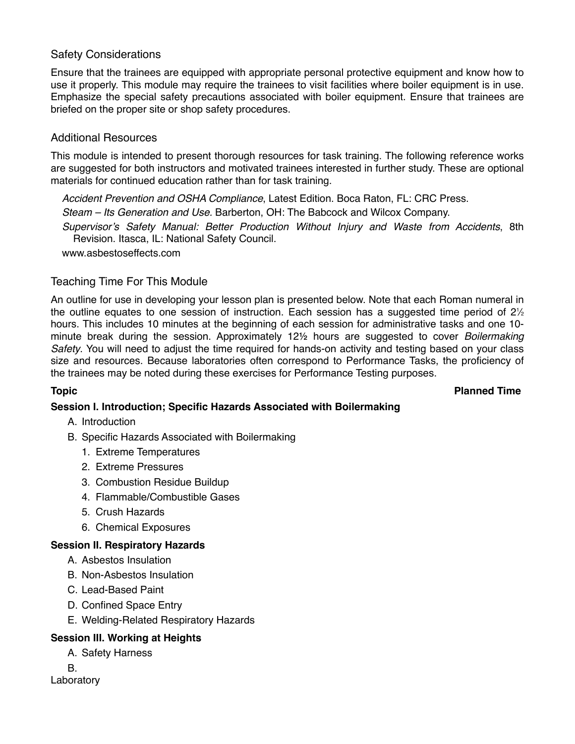# Safety Considerations

Ensure that the trainees are equipped with appropriate personal protective equipment and know how to use it properly. This module may require the trainees to visit facilities where boiler equipment is in use. Emphasize the special safety precautions associated with boiler equipment. Ensure that trainees are briefed on the proper site or shop safety procedures.

#### Additional Resources

This module is intended to present thorough resources for task training. The following reference works are suggested for both instructors and motivated trainees interested in further study. These are optional materials for continued education rather than for task training.

*Accident Prevention and OSHA Compliance*, Latest Edition. Boca Raton, FL: CRC Press. *Steam – Its Generation and Use.* Barberton, OH: The Babcock and Wilcox Company. *Supervisor's Safety Manual: Better Production Without Injury and Waste from Accidents*, 8th Revision. Itasca, IL: National Safety Council. www.asbestoseffects.com

# Teaching Time For This Module

An outline for use in developing your lesson plan is presented below. Note that each Roman numeral in the outline equates to one session of instruction. Each session has a suggested time period of 2½ hours. This includes 10 minutes at the beginning of each session for administrative tasks and one 10 minute break during the session. Approximately 12½ hours are suggested to cover *Boilermaking Safety*. You will need to adjust the time required for hands-on activity and testing based on your class size and resources. Because laboratories often correspond to Performance Tasks, the proficiency of the trainees may be noted during these exercises for Performance Testing purposes.

**Topic Planned Time**

# **Session I. Introduction; Specific Hazards Associated with Boilermaking**

- A. Introduction
- B. Specific Hazards Associated with Boilermaking
	- 1. Extreme Temperatures
	- 2. Extreme Pressures
	- 3. Combustion Residue Buildup
	- 4. Flammable/Combustible Gases
	- 5. Crush Hazards
	- 6. Chemical Exposures

#### **Session II. Respiratory Hazards**

- A. Asbestos Insulation
- B. Non-Asbestos Insulation
- C. Lead-Based Paint
- D. Confined Space Entry
- E. Welding-Related Respiratory Hazards

# **Session III. Working at Heights**

- A. Safety Harness
- B.
- Laboratory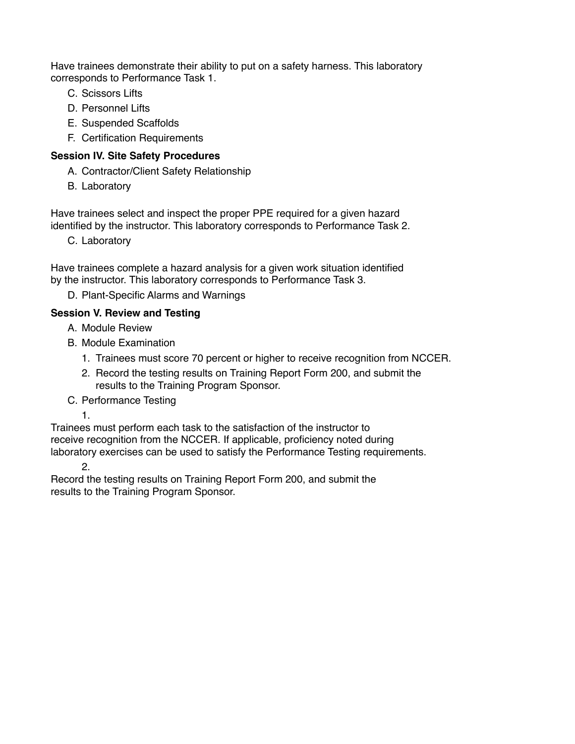Have trainees demonstrate their ability to put on a safety harness. This laboratory corresponds to Performance Task 1.

- C. Scissors Lifts
- D. Personnel Lifts
- E. Suspended Scaffolds
- F. Certification Requirements

# **Session IV. Site Safety Procedures**

- A. Contractor/Client Safety Relationship
- B. Laboratory

Have trainees select and inspect the proper PPE required for a given hazard identified by the instructor. This laboratory corresponds to Performance Task 2.

C. Laboratory

Have trainees complete a hazard analysis for a given work situation identified by the instructor. This laboratory corresponds to Performance Task 3.

D. Plant-Specific Alarms and Warnings

# **Session V. Review and Testing**

- A. Module Review
- B. Module Examination
	- 1. Trainees must score 70 percent or higher to receive recognition from NCCER.
	- 2. Record the testing results on Training Report Form 200, and submit the results to the Training Program Sponsor.
- C. Performance Testing

1.

Trainees must perform each task to the satisfaction of the instructor to receive recognition from the NCCER. If applicable, proficiency noted during laboratory exercises can be used to satisfy the Performance Testing requirements.

2.

Record the testing results on Training Report Form 200, and submit the results to the Training Program Sponsor.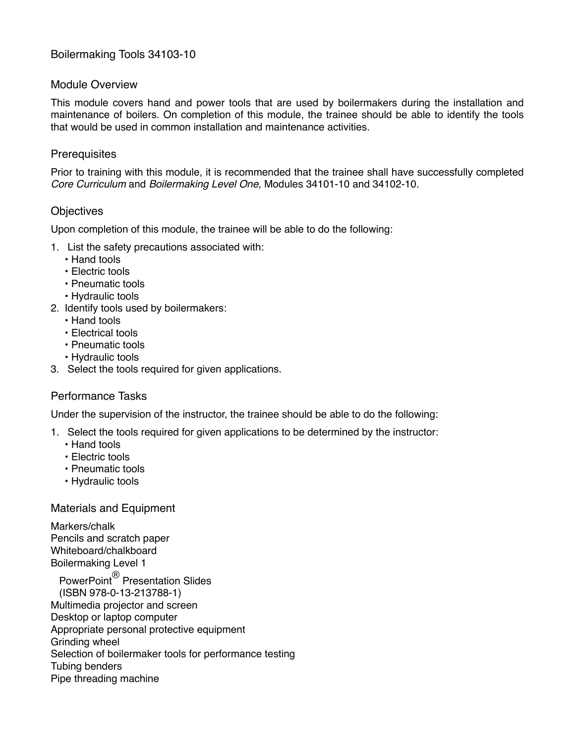# Boilermaking Tools 34103-10

#### Module Overview

This module covers hand and power tools that are used by boilermakers during the installation and maintenance of boilers. On completion of this module, the trainee should be able to identify the tools that would be used in common installation and maintenance activities.

#### **Prerequisites**

Prior to training with this module, it is recommended that the trainee shall have successfully completed *Core Curriculum* and *Boilermaking Level One,* Modules 34101-10 and 34102-10*.*

#### **Objectives**

Upon completion of this module, the trainee will be able to do the following:

- 1. List the safety precautions associated with:
	- Hand tools
	- Electric tools
	- Pneumatic tools
	- Hydraulic tools
- 2. Identify tools used by boilermakers:
	- Hand tools
	- Electrical tools
	- Pneumatic tools
	- Hydraulic tools
- 3. Select the tools required for given applications.

#### Performance Tasks

Under the supervision of the instructor, the trainee should be able to do the following:

- 1. Select the tools required for given applications to be determined by the instructor:
	- Hand tools
	- Electric tools
	- Pneumatic tools
	- Hydraulic tools

#### Materials and Equipment

Markers/chalk Pencils and scratch paper Whiteboard/chalkboard Boilermaking Level 1 PowerPoint® Presentation Slides (ISBN 978-0-13-213788-1) Multimedia projector and screen Desktop or laptop computer Appropriate personal protective equipment Grinding wheel Selection of boilermaker tools for performance testing Tubing benders Pipe threading machine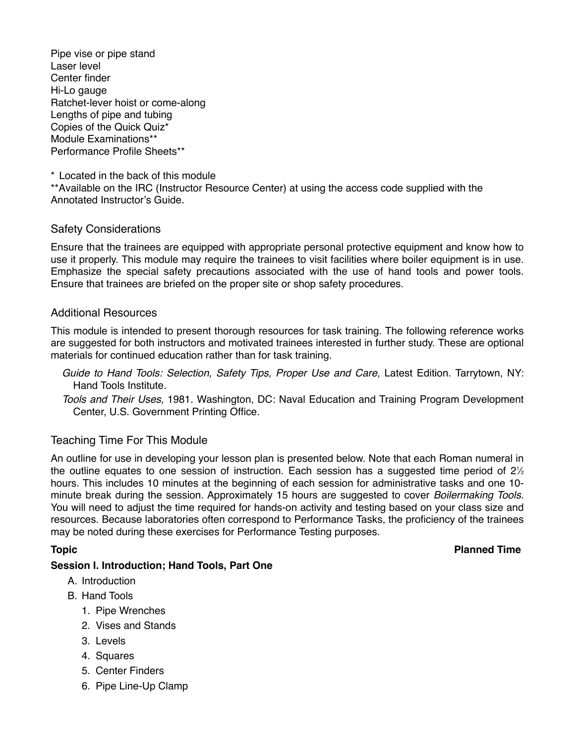Pipe vise or pipe stand Laser level Center finder Hi-Lo gauge Ratchet-lever hoist or come-along Lengths of pipe and tubing Copies of the Quick Quiz\* Module Examinations\*\* Performance Profile Sheets\*\*

\* Located in the back of this module

\*\*Available on the IRC (Instructor Resource Center) at using the access code supplied with the Annotated Instructor's Guide.

## Safety Considerations

Ensure that the trainees are equipped with appropriate personal protective equipment and know how to use it properly. This module may require the trainees to visit facilities where boiler equipment is in use. Emphasize the special safety precautions associated with the use of hand tools and power tools. Ensure that trainees are briefed on the proper site or shop safety procedures.

#### Additional Resources

This module is intended to present thorough resources for task training. The following reference works are suggested for both instructors and motivated trainees interested in further study. These are optional materials for continued education rather than for task training.

- Guide to Hand Tools: Selection, Safety Tips, Proper Use and Care, Latest Edition. Tarrytown, NY: Hand Tools Institute.
- *Tools and Their Uses,* 1981. Washington, DC: Naval Education and Training Program Development Center, U.S. Government Printing Office.

#### Teaching Time For This Module

An outline for use in developing your lesson plan is presented below. Note that each Roman numeral in the outline equates to one session of instruction. Each session has a suggested time period of 2½ hours. This includes 10 minutes at the beginning of each session for administrative tasks and one 10 minute break during the session. Approximately 15 hours are suggested to cover *Boilermaking Tools*. You will need to adjust the time required for hands-on activity and testing based on your class size and resources. Because laboratories often correspond to Performance Tasks, the proficiency of the trainees may be noted during these exercises for Performance Testing purposes.

#### **Topic Planned Time**

#### **Session I. Introduction; Hand Tools, Part One**

- A. Introduction
- B. Hand Tools
	- 1. Pipe Wrenches
	- 2. Vises and Stands
	- 3. Levels
	- 4. Squares
	- 5. Center Finders
	- 6. Pipe Line-Up Clamp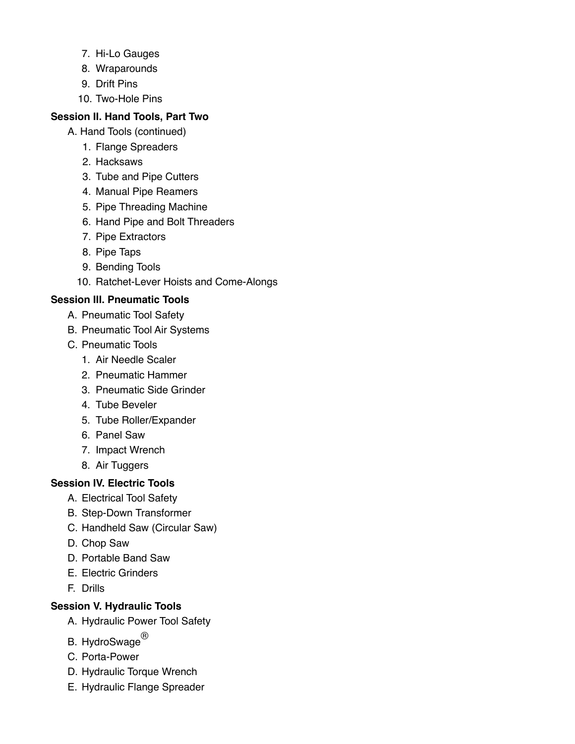- 7. Hi-Lo Gauges
- 8. Wraparounds
- 9. Drift Pins
- 10. Two-Hole Pins

# **Session II. Hand Tools, Part Two**

- A. Hand Tools (continued)
	- 1. Flange Spreaders
	- 2. Hacksaws
	- 3. Tube and Pipe Cutters
	- 4. Manual Pipe Reamers
	- 5. Pipe Threading Machine
	- 6. Hand Pipe and Bolt Threaders
	- 7. Pipe Extractors
	- 8. Pipe Taps
	- 9. Bending Tools
	- 10. Ratchet-Lever Hoists and Come-Alongs

# **Session III. Pneumatic Tools**

- A. Pneumatic Tool Safety
- B. Pneumatic Tool Air Systems
- C. Pneumatic Tools
	- 1. Air Needle Scaler
	- 2. Pneumatic Hammer
	- 3. Pneumatic Side Grinder
	- 4. Tube Beveler
	- 5. Tube Roller/Expander
	- 6. Panel Saw
	- 7. Impact Wrench
	- 8. Air Tuggers

# **Session IV. Electric Tools**

- A. Electrical Tool Safety
- B. Step-Down Transformer
- C. Handheld Saw (Circular Saw)
- D. Chop Saw
- D. Portable Band Saw
- E. Electric Grinders
- F. Drills

# **Session V. Hydraulic Tools**

- A. Hydraulic Power Tool Safety
- B. HydroSwage<sup>®</sup>
- C. Porta-Power
- D. Hydraulic Torque Wrench
- E. Hydraulic Flange Spreader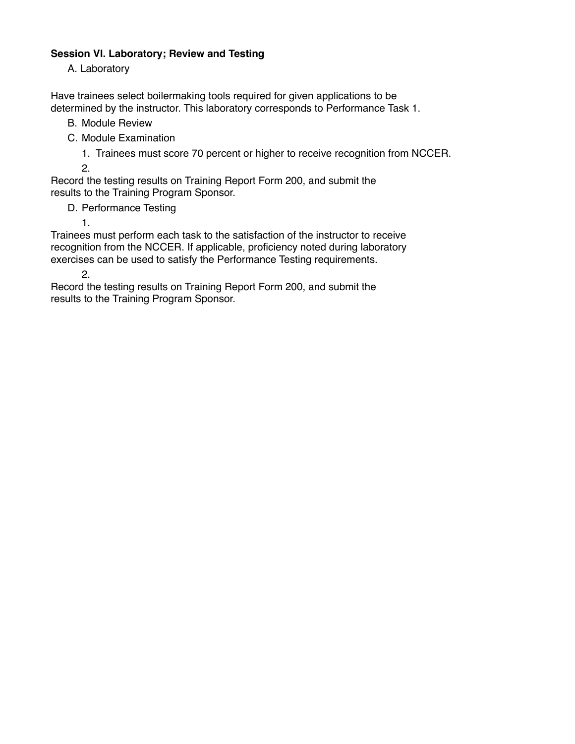# **Session VI. Laboratory; Review and Testing**

A. Laboratory

Have trainees select boilermaking tools required for given applications to be determined by the instructor. This laboratory corresponds to Performance Task 1.

B. Module Review

- C. Module Examination
	- 1. Trainees must score 70 percent or higher to receive recognition from NCCER.

2.

Record the testing results on Training Report Form 200, and submit the results to the Training Program Sponsor.

# D. Performance Testing

1.

Trainees must perform each task to the satisfaction of the instructor to receive recognition from the NCCER. If applicable, proficiency noted during laboratory exercises can be used to satisfy the Performance Testing requirements.

2.

Record the testing results on Training Report Form 200, and submit the results to the Training Program Sponsor.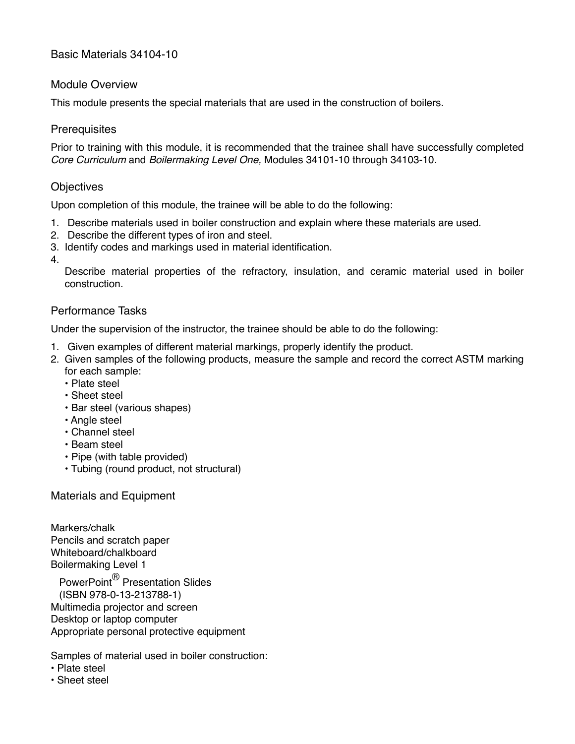Basic Materials 34104-10

# Module Overview

This module presents the special materials that are used in the construction of boilers.

# **Prerequisites**

Prior to training with this module, it is recommended that the trainee shall have successfully completed *Core Curriculum* and *Boilermaking Level One,* Modules 34101-10 through 34103-10*.*

# **Objectives**

Upon completion of this module, the trainee will be able to do the following:

- 1. Describe materials used in boiler construction and explain where these materials are used.
- 2. Describe the different types of iron and steel.
- 3. Identify codes and markings used in material identification.
- 4.

Describe material properties of the refractory, insulation, and ceramic material used in boiler construction.

## Performance Tasks

Under the supervision of the instructor, the trainee should be able to do the following:

- 1. Given examples of different material markings, properly identify the product.
- 2. Given samples of the following products, measure the sample and record the correct ASTM marking for each sample:
	- Plate steel
	- Sheet steel
	- Bar steel (various shapes)
	- Angle steel
	- Channel steel
	- Beam steel
	- Pipe (with table provided)
	- Tubing (round product, not structural)

#### Materials and Equipment

Markers/chalk Pencils and scratch paper Whiteboard/chalkboard Boilermaking Level 1 PowerPoint® Presentation Slides (ISBN 978-0-13-213788-1) Multimedia projector and screen Desktop or laptop computer Appropriate personal protective equipment

Samples of material used in boiler construction:

- Plate steel
- Sheet steel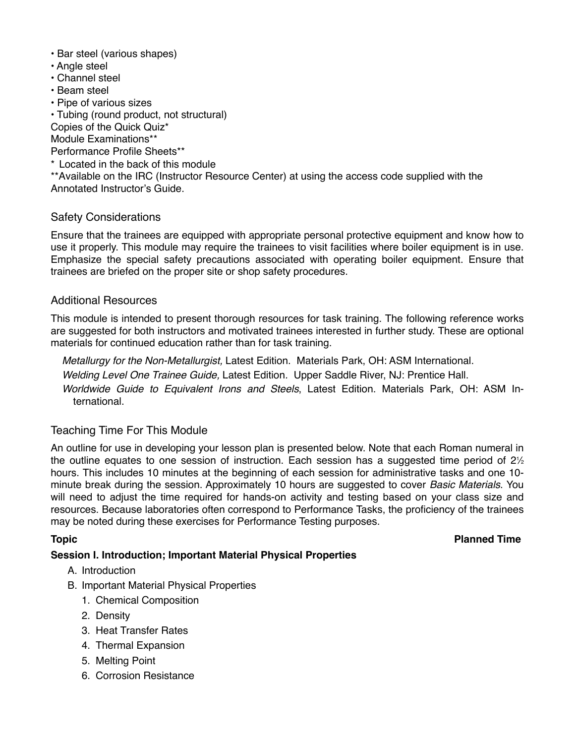- Bar steel (various shapes)
- Angle steel
- Channel steel
- Beam steel
- Pipe of various sizes

• Tubing (round product, not structural)

Copies of the Quick Quiz\*

Module Examinations\*\*

Performance Profile Sheets\*\*

\* Located in the back of this module

\*\*Available on the IRC (Instructor Resource Center) at using the access code supplied with the Annotated Instructor's Guide.

## Safety Considerations

Ensure that the trainees are equipped with appropriate personal protective equipment and know how to use it properly. This module may require the trainees to visit facilities where boiler equipment is in use. Emphasize the special safety precautions associated with operating boiler equipment. Ensure that trainees are briefed on the proper site or shop safety procedures.

#### Additional Resources

This module is intended to present thorough resources for task training. The following reference works are suggested for both instructors and motivated trainees interested in further study. These are optional materials for continued education rather than for task training.

*Metallurgy for the Non-Metallurgist,* Latest Edition. Materials Park, OH: ASM International. *Welding Level One Trainee Guide,* Latest Edition*.* Upper Saddle River, NJ: Prentice Hall. *Worldwide Guide to Equivalent Irons and Steels*, Latest Edition. Materials Park, OH: ASM In‐ ternational.

# Teaching Time For This Module

An outline for use in developing your lesson plan is presented below. Note that each Roman numeral in the outline equates to one session of instruction. Each session has a suggested time period of 2½ hours. This includes 10 minutes at the beginning of each session for administrative tasks and one 10 minute break during the session. Approximately 10 hours are suggested to cover *Basic Materials*. You will need to adjust the time required for hands-on activity and testing based on your class size and resources. Because laboratories often correspond to Performance Tasks, the proficiency of the trainees may be noted during these exercises for Performance Testing purposes.

# **Topic Planned Time**

# **Session I. Introduction; Important Material Physical Properties**

- A. Introduction
- B. Important Material Physical Properties
	- 1. Chemical Composition
	- 2. Density
	- 3. Heat Transfer Rates
	- 4. Thermal Expansion
	- 5. Melting Point
	- 6. Corrosion Resistance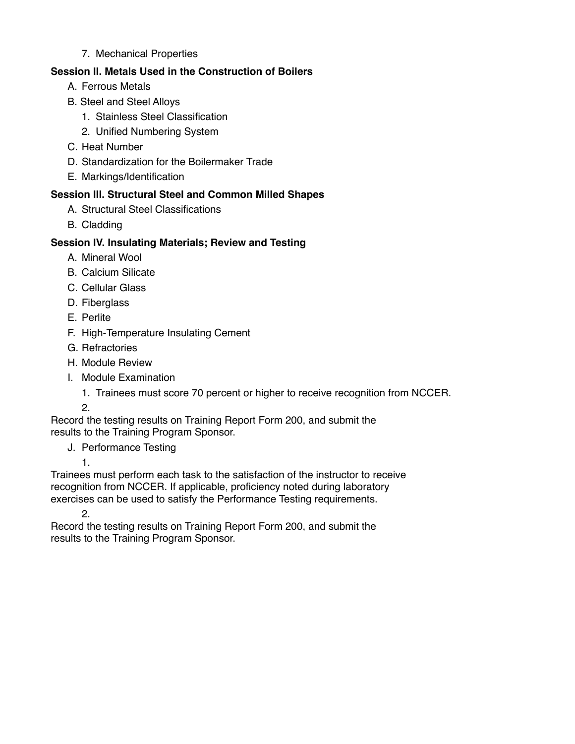7. Mechanical Properties

# **Session II. Metals Used in the Construction of Boilers**

- A. Ferrous Metals
- B. Steel and Steel Alloys
	- 1. Stainless Steel Classification
	- 2. Unified Numbering System
- C. Heat Number
- D. Standardization for the Boilermaker Trade
- E. Markings/Identification

# **Session III. Structural Steel and Common Milled Shapes**

- A. Structural Steel Classifications
- B. Cladding

# **Session IV. Insulating Materials; Review and Testing**

- A. Mineral Wool
- B. Calcium Silicate
- C. Cellular Glass
- D. Fiberglass
- E. Perlite
- F. High-Temperature Insulating Cement
- G. Refractories
- H. Module Review
- I. Module Examination
	- 1. Trainees must score 70 percent or higher to receive recognition from NCCER.

2.

Record the testing results on Training Report Form 200, and submit the results to the Training Program Sponsor.

# J. Performance Testing

1.

Trainees must perform each task to the satisfaction of the instructor to receive recognition from NCCER. If applicable, proficiency noted during laboratory exercises can be used to satisfy the Performance Testing requirements.

2.

Record the testing results on Training Report Form 200, and submit the results to the Training Program Sponsor.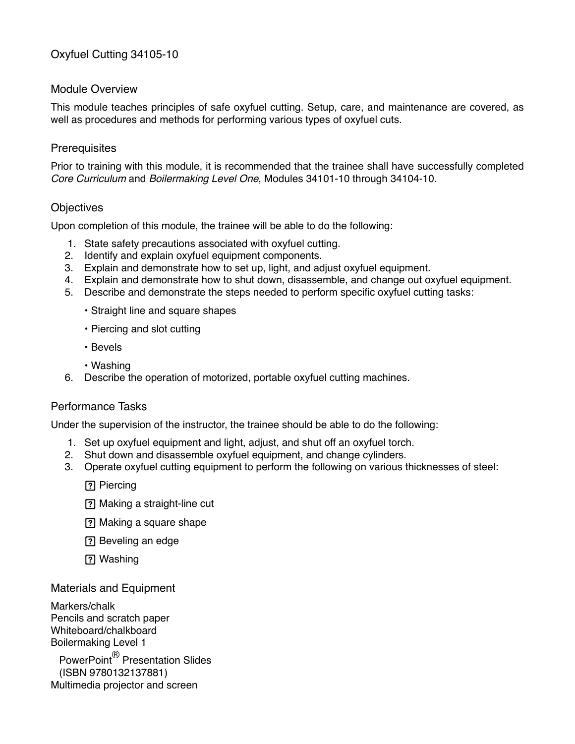# Oxyfuel Cutting 34105-10

#### Module Overview

This module teaches principles of safe oxyfuel cutting. Setup, care, and maintenance are covered, as well as procedures and methods for performing various types of oxyfuel cuts.

#### **Prerequisites**

Prior to training with this module, it is recommended that the trainee shall have successfully completed *Core Curriculum* and *Boilermaking Level One*, Modules 34101-10 through 34104-10.

#### **Objectives**

Upon completion of this module, the trainee will be able to do the following:

- 1. State safety precautions associated with oxyfuel cutting.
- 2. Identify and explain oxyfuel equipment components.
- 3. Explain and demonstrate how to set up, light, and adjust oxyfuel equipment.
- 4. Explain and demonstrate how to shut down, disassemble, and change out oxyfuel equipment.
- 5. Describe and demonstrate the steps needed to perform specific oxyfuel cutting tasks:
	- Straight line and square shapes
	- Piercing and slot cutting
	- Bevels
	- Washing
- 6. Describe the operation of motorized, portable oxyfuel cutting machines.

#### Performance Tasks

Under the supervision of the instructor, the trainee should be able to do the following:

- 1. Set up oxyfuel equipment and light, adjust, and shut off an oxyfuel torch.
- 2. Shut down and disassemble oxyfuel equipment, and change cylinders.
- 3. Operate oxyfuel cutting equipment to perform the following on various thicknesses of steel:

? Piercing

- Making a straight-line cut
- Making a square shape
- Beveling an edge
- ? Washing

Materials and Equipment

Markers/chalk Pencils and scratch paper Whiteboard/chalkboard Boilermaking Level 1 PowerPoint® Presentation Slides (ISBN 9780132137881) Multimedia projector and screen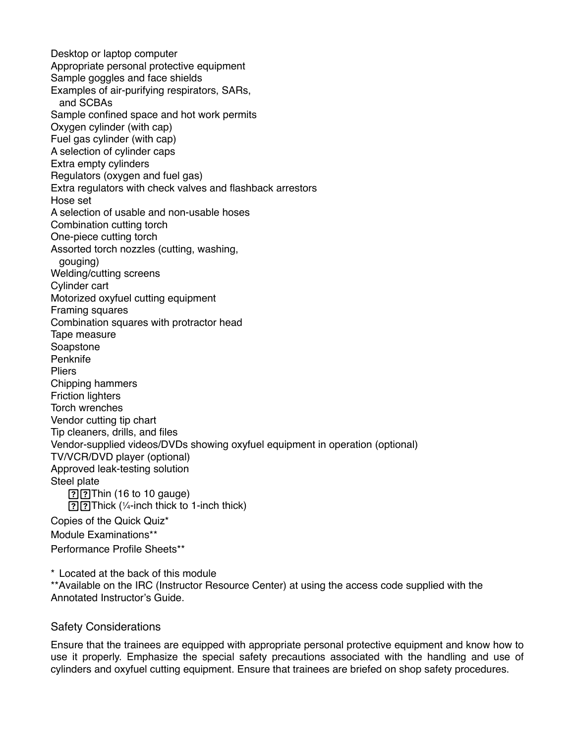Desktop or laptop computer Appropriate personal protective equipment Sample goggles and face shields Examples of air-purifying respirators, SARs, and SCBAs Sample confined space and hot work permits Oxygen cylinder (with cap) Fuel gas cylinder (with cap) A selection of cylinder caps Extra empty cylinders Regulators (oxygen and fuel gas) Extra regulators with check valves and flashback arrestors Hose set A selection of usable and non-usable hoses Combination cutting torch One-piece cutting torch Assorted torch nozzles (cutting, washing, gouging) Welding/cutting screens Cylinder cart Motorized oxyfuel cutting equipment Framing squares Combination squares with protractor head Tape measure Soapstone Penknife **Pliers** Chipping hammers Friction lighters Torch wrenches Vendor cutting tip chart Tip cleaners, drills, and files Vendor-supplied videos/DVDs showing oxyfuel equipment in operation (optional) TV/VCR/DVD player (optional) Approved leak-testing solution Steel plate  $[?]$ Thin (16 to 10 gauge) Thick (1 ⁄4-inch thick to 1-inch thick) Copies of the Quick Quiz\* Module Examinations\*\* Performance Profile Sheets\*\*

\* Located at the back of this module \*\*Available on the IRC (Instructor Resource Center) at using the access code supplied with the Annotated Instructor's Guide.

#### Safety Considerations

Ensure that the trainees are equipped with appropriate personal protective equipment and know how to use it properly. Emphasize the special safety precautions associated with the handling and use of cylinders and oxyfuel cutting equipment. Ensure that trainees are briefed on shop safety procedures.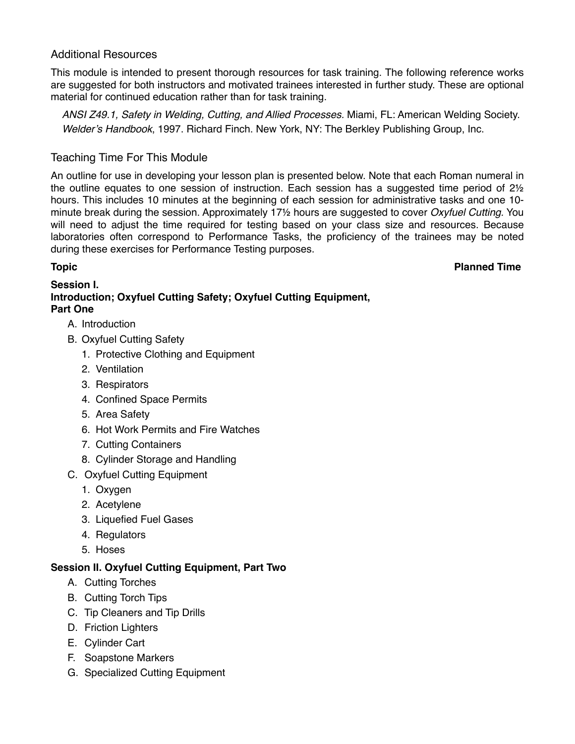# Additional Resources

This module is intended to present thorough resources for task training. The following reference works are suggested for both instructors and motivated trainees interested in further study. These are optional material for continued education rather than for task training.

*ANSI Z49.1, Safety in Welding, Cutting, and Allied Processes.* Miami, FL: American Welding Society. *Welder's Handbook*, 1997. Richard Finch. New York, NY: The Berkley Publishing Group, Inc.

# Teaching Time For This Module

An outline for use in developing your lesson plan is presented below. Note that each Roman numeral in the outline equates to one session of instruction. Each session has a suggested time period of 2½ hours. This includes 10 minutes at the beginning of each session for administrative tasks and one 10 minute break during the session. Approximately 17½ hours are suggested to cover *Oxyfuel Cutting.* You will need to adjust the time required for testing based on your class size and resources. Because laboratories often correspond to Performance Tasks, the proficiency of the trainees may be noted during these exercises for Performance Testing purposes.

#### **Topic Planned Time**

#### **Session I. Introduction; Oxyfuel Cutting Safety; Oxyfuel Cutting Equipment, Part One**

- A. Introduction
- B. Oxyfuel Cutting Safety
	- 1. Protective Clothing and Equipment
	- 2. Ventilation
	- 3. Respirators
	- 4. Confined Space Permits
	- 5. Area Safety
	- 6. Hot Work Permits and Fire Watches
	- 7. Cutting Containers
	- 8. Cylinder Storage and Handling
- C. Oxyfuel Cutting Equipment
	- 1. Oxygen
	- 2. Acetylene
	- 3. Liquefied Fuel Gases
	- 4. Regulators
	- 5. Hoses

# **Session II. Oxyfuel Cutting Equipment, Part Two**

- A. Cutting Torches
- B. Cutting Torch Tips
- C. Tip Cleaners and Tip Drills
- D. Friction Lighters
- E. Cylinder Cart
- F. Soapstone Markers
- G. Specialized Cutting Equipment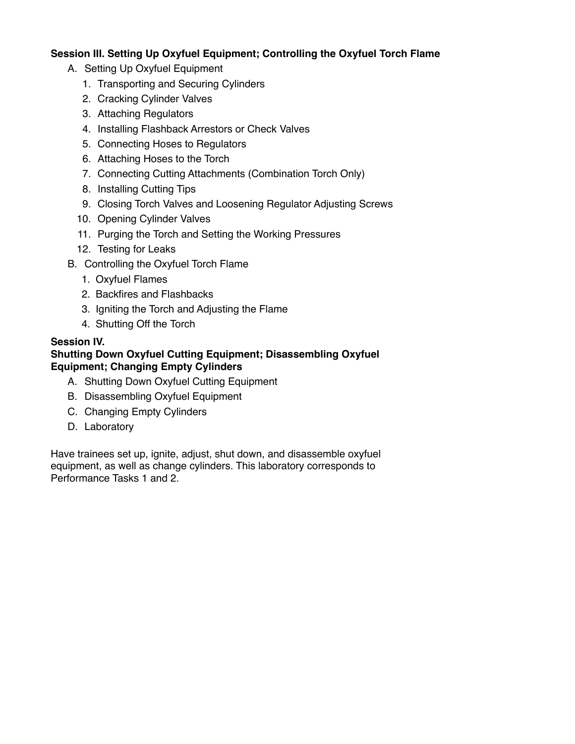# **Session III. Setting Up Oxyfuel Equipment; Controlling the Oxyfuel Torch Flame**

- A. Setting Up Oxyfuel Equipment
	- 1. Transporting and Securing Cylinders
	- 2. Cracking Cylinder Valves
	- 3. Attaching Regulators
	- 4. Installing Flashback Arrestors or Check Valves
	- 5. Connecting Hoses to Regulators
	- 6. Attaching Hoses to the Torch
	- 7. Connecting Cutting Attachments (Combination Torch Only)
	- 8. Installing Cutting Tips
	- 9. Closing Torch Valves and Loosening Regulator Adjusting Screws
	- 10. Opening Cylinder Valves
	- 11. Purging the Torch and Setting the Working Pressures
	- 12. Testing for Leaks
- B. Controlling the Oxyfuel Torch Flame
	- 1. Oxyfuel Flames
	- 2. Backfires and Flashbacks
	- 3. Igniting the Torch and Adjusting the Flame
	- 4. Shutting Off the Torch

#### **Session IV.**

#### **Shutting Down Oxyfuel Cutting Equipment; Disassembling Oxyfuel Equipment; Changing Empty Cylinders**

- A. Shutting Down Oxyfuel Cutting Equipment
- B. Disassembling Oxyfuel Equipment
- C. Changing Empty Cylinders
- D. Laboratory

Have trainees set up, ignite, adjust, shut down, and disassemble oxyfuel equipment, as well as change cylinders. This laboratory corresponds to Performance Tasks 1 and 2.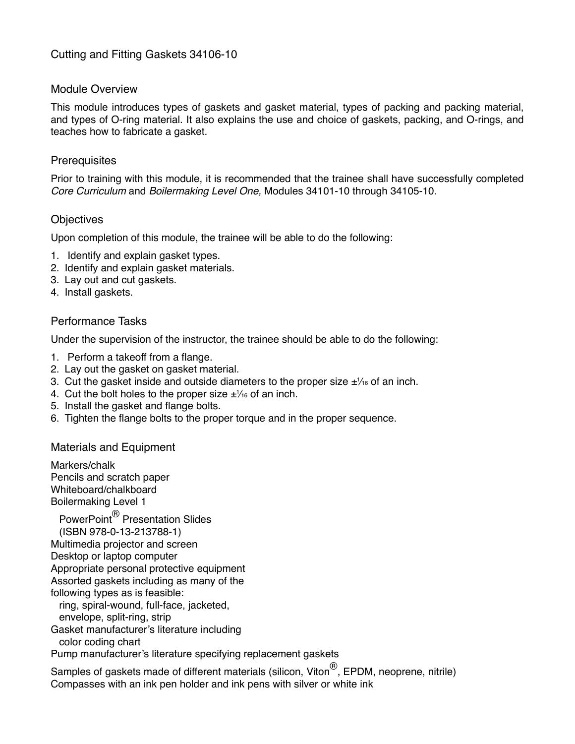#### Module Overview

This module introduces types of gaskets and gasket material, types of packing and packing material, and types of O-ring material. It also explains the use and choice of gaskets, packing, and O-rings, and teaches how to fabricate a gasket.

## **Prerequisites**

Prior to training with this module, it is recommended that the trainee shall have successfully completed *Core Curriculum* and *Boilermaking Level One,* Modules 34101-10 through 34105-10.

# **Objectives**

Upon completion of this module, the trainee will be able to do the following:

- 1. Identify and explain gasket types.
- 2. Identify and explain gasket materials.
- 3. Lay out and cut gaskets.
- 4. Install gaskets.

## Performance Tasks

Under the supervision of the instructor, the trainee should be able to do the following:

- 1. Perform a takeoff from a flange.
- 2. Lay out the gasket on gasket material.
- 3. Cut the gasket inside and outside diameters to the proper size  $\pm\frac{1}{16}$  of an inch.
- 4. Cut the bolt holes to the proper size  $\pm\frac{1}{16}$  of an inch.
- 5. Install the gasket and flange bolts.
- 6. Tighten the flange bolts to the proper torque and in the proper sequence.

#### Materials and Equipment

Markers/chalk Pencils and scratch paper Whiteboard/chalkboard Boilermaking Level 1 PowerPoint® Presentation Slides (ISBN 978-0-13-213788-1) Multimedia projector and screen Desktop or laptop computer Appropriate personal protective equipment Assorted gaskets including as many of the following types as is feasible: ring, spiral-wound, full-face, jacketed, envelope, split-ring, strip Gasket manufacturer's literature including color coding chart Pump manufacturer's literature specifying replacement gaskets

Samples of gaskets made of different materials (silicon, Viton<sup>®</sup>, EPDM, neoprene, nitrile) Compasses with an ink pen holder and ink pens with silver or white ink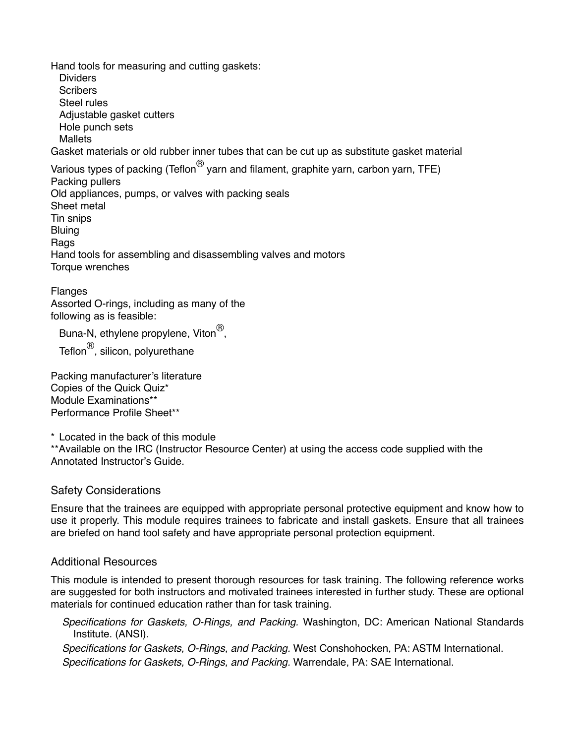Hand tools for measuring and cutting gaskets: **Dividers Scribers** Steel rules Adjustable gasket cutters Hole punch sets **Mallets** Gasket materials or old rubber inner tubes that can be cut up as substitute gasket material Various types of packing (Teflon<sup>®</sup> yarn and filament, graphite yarn, carbon yarn, TFE) Packing pullers Old appliances, pumps, or valves with packing seals Sheet metal Tin snips Bluing Rags

Hand tools for assembling and disassembling valves and motors Torque wrenches

Flanges Assorted O-rings, including as many of the following as is feasible:

Buna-N, ethylene propylene, Viton<sup>®</sup>,

Teflon<sup>®</sup>, silicon, polyurethane

Packing manufacturer's literature Copies of the Quick Quiz\* Module Examinations\*\* Performance Profile Sheet\*\*

\* Located in the back of this module

\*\*Available on the IRC (Instructor Resource Center) at using the access code supplied with the Annotated Instructor's Guide.

#### Safety Considerations

Ensure that the trainees are equipped with appropriate personal protective equipment and know how to use it properly. This module requires trainees to fabricate and install gaskets. Ensure that all trainees are briefed on hand tool safety and have appropriate personal protection equipment.

#### Additional Resources

This module is intended to present thorough resources for task training. The following reference works are suggested for both instructors and motivated trainees interested in further study. These are optional materials for continued education rather than for task training.

*Specifications for Gaskets, O-Rings, and Packing.* Washington, DC: American National Standards Institute. (ANSI).

*Specifications for Gaskets, O-Rings, and Packing.* West Conshohocken, PA: ASTM International. *Specifications for Gaskets, O-Rings, and Packing.* Warrendale, PA: SAE International.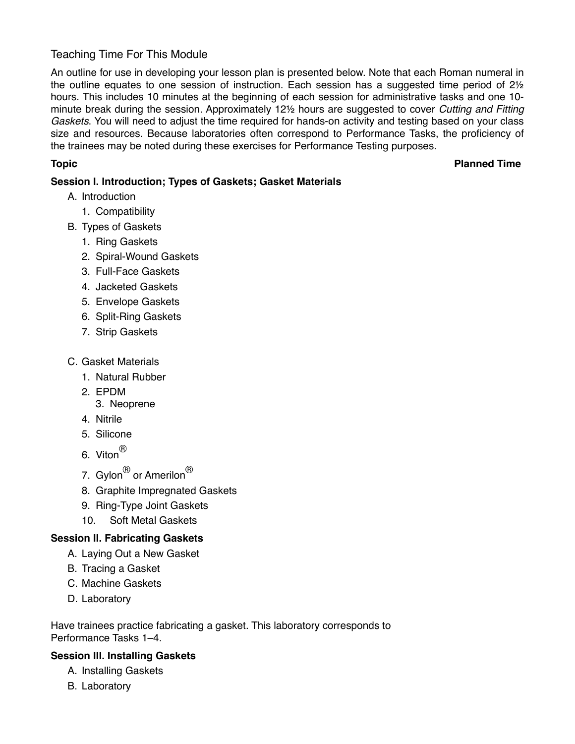# Teaching Time For This Module

An outline for use in developing your lesson plan is presented below. Note that each Roman numeral in the outline equates to one session of instruction. Each session has a suggested time period of 2½ hours. This includes 10 minutes at the beginning of each session for administrative tasks and one 10 minute break during the session. Approximately 12½ hours are suggested to cover *Cutting and Fitting Gaskets*. You will need to adjust the time required for hands-on activity and testing based on your class size and resources. Because laboratories often correspond to Performance Tasks, the proficiency of the trainees may be noted during these exercises for Performance Testing purposes.

# **Topic Planned Time**

# **Session I. Introduction; Types of Gaskets; Gasket Materials**

- A. Introduction
	- 1. Compatibility
- B. Types of Gaskets
	- 1. Ring Gaskets
	- 2. Spiral-Wound Gaskets
	- 3. Full-Face Gaskets
	- 4. Jacketed Gaskets
	- 5. Envelope Gaskets
	- 6. Split-Ring Gaskets
	- 7. Strip Gaskets
- C. Gasket Materials
	- 1. Natural Rubber
	- 2. EPDM
		- 3. Neoprene
	- 4. Nitrile
	- 5. Silicone
	- 6. Viton®
	- 7. Gylon<sup>®</sup> or Amerilon<sup>®</sup>
	- 8. Graphite Impregnated Gaskets
	- 9. Ring-Type Joint Gaskets
	- 10. Soft Metal Gaskets

# **Session II. Fabricating Gaskets**

- A. Laying Out a New Gasket
- B. Tracing a Gasket
- C. Machine Gaskets
- D. Laboratory

Have trainees practice fabricating a gasket. This laboratory corresponds to Performance Tasks 1–4.

# **Session III. Installing Gaskets**

- A. Installing Gaskets
- B. Laboratory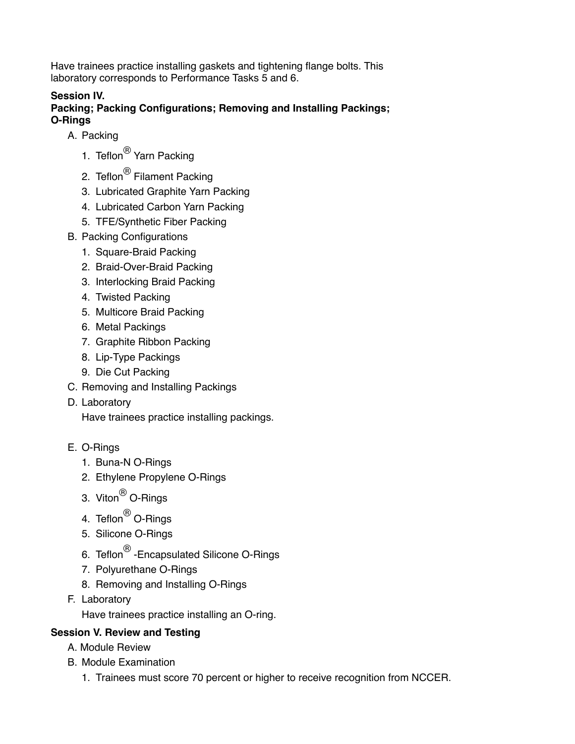Have trainees practice installing gaskets and tightening flange bolts. This laboratory corresponds to Performance Tasks 5 and 6.

# **Session IV.**

# **Packing; Packing Configurations; Removing and Installing Packings; O-Rings**

- A. Packing
	- 1. Teflon<sup>®</sup> Yarn Packing
	- 2. Teflon<sup>®</sup> Filament Packing
	- 3. Lubricated Graphite Yarn Packing
	- 4. Lubricated Carbon Yarn Packing
	- 5. TFE/Synthetic Fiber Packing
- B. Packing Configurations
	- 1. Square-Braid Packing
	- 2. Braid-Over-Braid Packing
	- 3. Interlocking Braid Packing
	- 4. Twisted Packing
	- 5. Multicore Braid Packing
	- 6. Metal Packings
	- 7. Graphite Ribbon Packing
	- 8. Lip-Type Packings
	- 9. Die Cut Packing
- C. Removing and Installing Packings
- D. Laboratory

Have trainees practice installing packings.

- E. O-Rings
	- 1. Buna-N O-Rings
	- 2. Ethylene Propylene O-Rings
	- 3. Viton<sup>®</sup> O-Rings
	- 4. Teflon<sup>®</sup> O-Rings
	- 5. Silicone O-Rings
	- 6. Teflon® -Encapsulated Silicone O-Rings
	- 7. Polyurethane O-Rings
	- 8. Removing and Installing O-Rings
- F. Laboratory

Have trainees practice installing an O-ring.

# **Session V. Review and Testing**

- A. Module Review
- B. Module Examination
	- 1. Trainees must score 70 percent or higher to receive recognition from NCCER.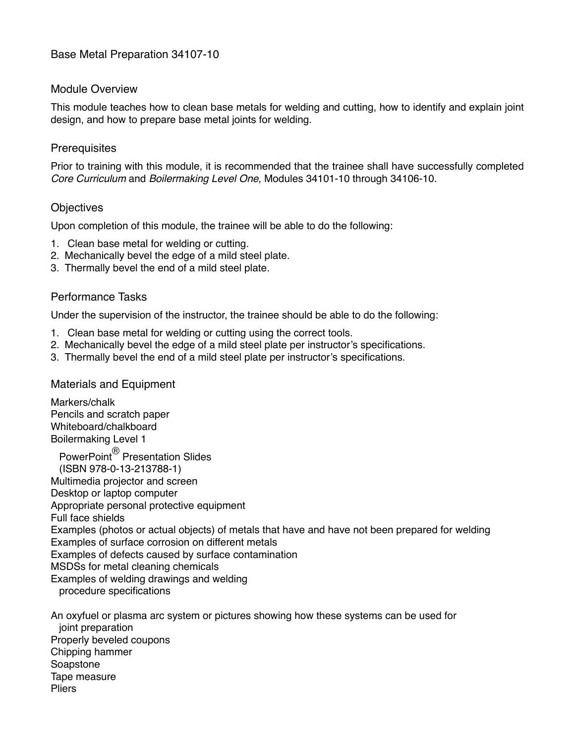## Module Overview

This module teaches how to clean base metals for welding and cutting, how to identify and explain joint design, and how to prepare base metal joints for welding.

# **Prerequisites**

Prior to training with this module, it is recommended that the trainee shall have successfully completed *Core Curriculum* and *Boilermaking Level One*, Modules 34101-10 through 34106-10.

# **Objectives**

Upon completion of this module, the trainee will be able to do the following:

- 1. Clean base metal for welding or cutting.
- 2. Mechanically bevel the edge of a mild steel plate.
- 3. Thermally bevel the end of a mild steel plate.

## Performance Tasks

Under the supervision of the instructor, the trainee should be able to do the following:

- 1. Clean base metal for welding or cutting using the correct tools.
- 2. Mechanically bevel the edge of a mild steel plate per instructor's specifications.
- 3. Thermally bevel the end of a mild steel plate per instructor's specifications.

#### Materials and Equipment

Markers/chalk Pencils and scratch paper Whiteboard/chalkboard Boilermaking Level 1 PowerPoint® Presentation Slides (ISBN 978-0-13-213788-1) Multimedia projector and screen Desktop or laptop computer Appropriate personal protective equipment Full face shields Examples (photos or actual objects) of metals that have and have not been prepared for welding Examples of surface corrosion on different metals Examples of defects caused by surface contamination MSDSs for metal cleaning chemicals Examples of welding drawings and welding procedure specifications An oxyfuel or plasma arc system or pictures showing how these systems can be used for joint preparation Properly beveled coupons Chipping hammer Soapstone

- Tape measure
- Pliers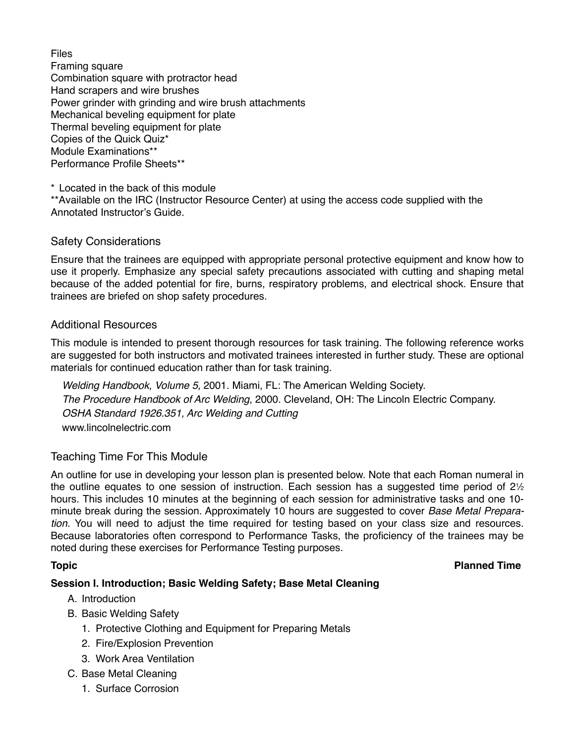Files Framing square Combination square with protractor head Hand scrapers and wire brushes Power grinder with grinding and wire brush attachments Mechanical beveling equipment for plate Thermal beveling equipment for plate Copies of the Quick Quiz\* Module Examinations\*\* Performance Profile Sheets\*\*

\* Located in the back of this module

\*\*Available on the IRC (Instructor Resource Center) at using the access code supplied with the Annotated Instructor's Guide.

## Safety Considerations

Ensure that the trainees are equipped with appropriate personal protective equipment and know how to use it properly. Emphasize any special safety precautions associated with cutting and shaping metal because of the added potential for fire, burns, respiratory problems, and electrical shock. Ensure that trainees are briefed on shop safety procedures.

#### Additional Resources

This module is intended to present thorough resources for task training. The following reference works are suggested for both instructors and motivated trainees interested in further study. These are optional materials for continued education rather than for task training.

*Welding Handbook*, *Volume 5*, 2001. Miami, FL: The American Welding Society. *The Procedure Handbook of Arc Welding*, 2000. Cleveland, OH: The Lincoln Electric Company. *OSHA Standard 1926.351, Arc Welding and Cutting* www.lincolnelectric.com

# Teaching Time For This Module

An outline for use in developing your lesson plan is presented below. Note that each Roman numeral in the outline equates to one session of instruction. Each session has a suggested time period of 21⁄2 hours. This includes 10 minutes at the beginning of each session for administrative tasks and one 10 minute break during the session. Approximately 10 hours are suggested to cover *Base Metal Prepara*‐ *tion.* You will need to adjust the time required for testing based on your class size and resources. Because laboratories often correspond to Performance Tasks, the proficiency of the trainees may be noted during these exercises for Performance Testing purposes.

#### **Topic Planned Time**

#### **Session I. Introduction; Basic Welding Safety; Base Metal Cleaning**

- A. Introduction
- B. Basic Welding Safety
	- 1. Protective Clothing and Equipment for Preparing Metals
	- 2. Fire/Explosion Prevention
	- 3. Work Area Ventilation
- C. Base Metal Cleaning
	- 1. Surface Corrosion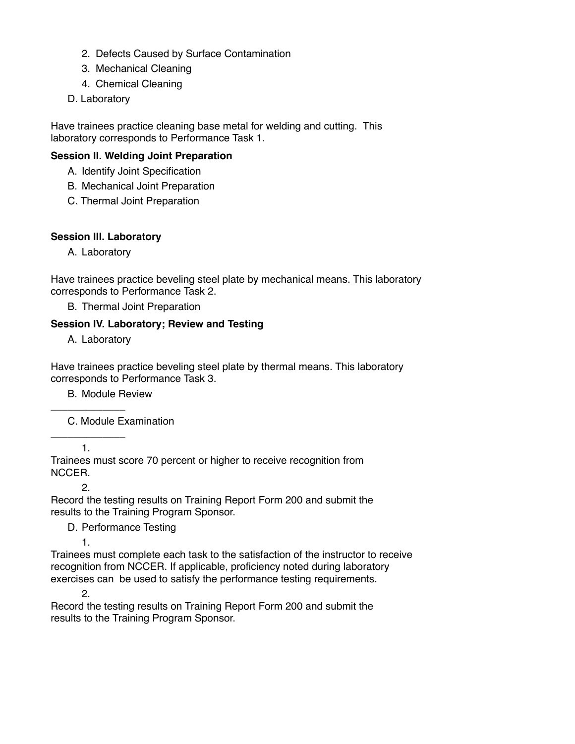- 2. Defects Caused by Surface Contamination
- 3. Mechanical Cleaning
- 4. Chemical Cleaning
- D. Laboratory

Have trainees practice cleaning base metal for welding and cutting. This laboratory corresponds to Performance Task 1.

# **Session II. Welding Joint Preparation**

- A. Identify Joint Specification
- B. Mechanical Joint Preparation
- C. Thermal Joint Preparation

# **Session III. Laboratory**

A. Laboratory

Have trainees practice beveling steel plate by mechanical means. This laboratory corresponds to Performance Task 2.

B. Thermal Joint Preparation

# **Session IV. Laboratory; Review and Testing**

A. Laboratory

Have trainees practice beveling steel plate by thermal means. This laboratory corresponds to Performance Task 3.

B. Module Review

C. Module Examination

1.

\_\_\_\_\_\_\_\_\_\_\_\_\_

\_\_\_\_\_\_\_\_\_\_\_\_\_

Trainees must score 70 percent or higher to receive recognition from NCCER.

2.

Record the testing results on Training Report Form 200 and submit the results to the Training Program Sponsor.

D. Performance Testing

1.

Trainees must complete each task to the satisfaction of the instructor to receive recognition from NCCER. If applicable, proficiency noted during laboratory exercises can be used to satisfy the performance testing requirements.

2.

Record the testing results on Training Report Form 200 and submit the results to the Training Program Sponsor.